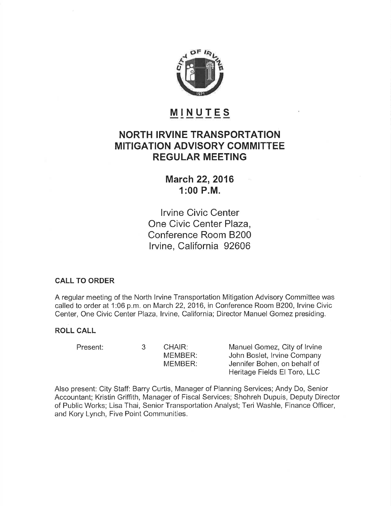

# MINUTES

## NORTH IRVINE TRANSPORTATION MITIGATION ADVISORY COMMITTEE REGULAR MEETING

**March 22, 2016** 1:00 P.M.

lrvine Civic Center One Civic Center Plaza, Conference Room 8200 Irvine, California 92606

## CALL TO ORDER

A regular meeting of the North lrvine Transportation Mitigation Advisory Committee was called to order at 1:06 p.m. on March 22, 2016, in Conference Room B200, Irvine Civic Center, One Civic Center Plaza, Irvine, California; Director Manuel Gomez presiding.

## ROLL CALL

Present: 3 CHAIR:

MEMBER: MEMBER: Manuel Gomez, City of lrvine John Boslet, lrvine Company Jennifer Bohen, on behalf of Heritage Fields El Toro, LLC

Also present: City Staff: Barry Curtis, Manager of Planning Services; Andy Do, Senior Accountant; Kristin Griffith, Manager of Fiscal Services; Shohreh Dupuis, Deputy Director of Public Works; Lisa Thai, Senior Transportation Analyst; Teri Washle, Finance Officer, and Kory Lynch, Five Point Communities.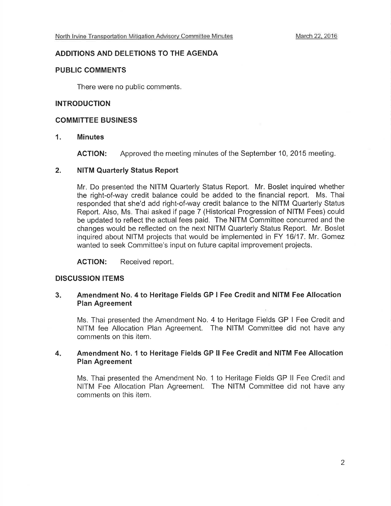#### ADDITIONS AND DELETIONS TO THE AGENDA

#### PUBLIC COMMENTS

There were no public comments.

#### INTRODUCTION

#### COMMITTEE BUSINESS

#### 1. Minutes

ACTION: Approved the meeting minutes of the September 10,2015 meeting.

#### 2. NITM Quarterly Status Report

Mr. Do presented the NITM Quarterly Status Report. Mr. Boslet inquired whether the right-of-way credit balance could be added to the financial report. Ms. Thai responded that she'd add right-of-way credit balance to the NITM Quarterly Status Report. Also, Ms. Thai asked if page 7 (Historical Progression of NITM Fees) could be updated to reflect the actual fees paid. The NITM Committee concurred and the changes would be reflected on the next NITM Quarterly Status Report. Mr. Boslet inquired about NITM projects that would be implemented in FY 16/17. Mr. Gomez wanted to seek Committee's input on future capital improvement projects.

ACTION: Received report.

## DISCUSSION ITEMS

#### 3 Amendment No. 4 to Heritage Fields GP I Fee Credit and NITM Fee Allocation Plan Agreement

Ms. Thai presented the Amendment No. 4 to Heritage Fields GP I Fee Credit and NITM fee Allocation Plan Agreement. The NITM Committee did not have any comments on this item.

#### Amendment No. 1 to Heritage Fields GP ll Fee Credit and NITM Fee Allocation Plan Agreement 4

Ms. Thai presented the Amendment No. 1 to Heritage Fields GP ll Fee Credit and NITM Fee Allocation Plan Agreement. The NITM Committee did not have any comments on this item.